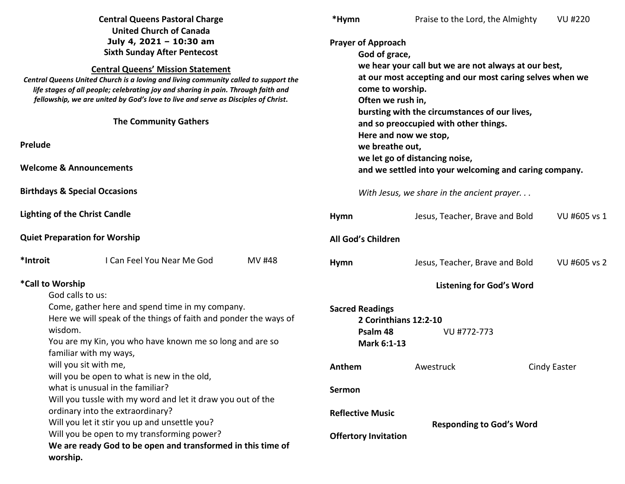| <b>Central Queens Pastoral Charge</b><br><b>United Church of Canada</b>                                                                                                                                                                                                                                                                                                                                     |                                                                                                           | *Hymn                                                      | Praise to the Lord, the Almighty                                                                                                                                                                        | <b>VU #220</b>                                                                           |                     |                 |  |
|-------------------------------------------------------------------------------------------------------------------------------------------------------------------------------------------------------------------------------------------------------------------------------------------------------------------------------------------------------------------------------------------------------------|-----------------------------------------------------------------------------------------------------------|------------------------------------------------------------|---------------------------------------------------------------------------------------------------------------------------------------------------------------------------------------------------------|------------------------------------------------------------------------------------------|---------------------|-----------------|--|
| July 4, 2021 - 10:30 am<br><b>Sixth Sunday After Pentecost</b><br><b>Central Queens' Mission Statement</b><br>Central Queens United Church is a loving and living community called to support the<br>life stages of all people; celebrating joy and sharing in pain. Through faith and<br>fellowship, we are united by God's love to live and serve as Disciples of Christ.<br><b>The Community Gathers</b> |                                                                                                           |                                                            | <b>Prayer of Approach</b><br>God of grace,<br>we hear your call but we are not always at our best,<br>at our most accepting and our most caring selves when we<br>come to worship.<br>Often we rush in, |                                                                                          |                     |                 |  |
|                                                                                                                                                                                                                                                                                                                                                                                                             |                                                                                                           |                                                            |                                                                                                                                                                                                         |                                                                                          |                     |                 |  |
|                                                                                                                                                                                                                                                                                                                                                                                                             |                                                                                                           |                                                            | Prelude                                                                                                                                                                                                 |                                                                                          |                     | we breathe out, |  |
| <b>Welcome &amp; Announcements</b>                                                                                                                                                                                                                                                                                                                                                                          |                                                                                                           |                                                            |                                                                                                                                                                                                         | we let go of distancing noise,<br>and we settled into your welcoming and caring company. |                     |                 |  |
| <b>Birthdays &amp; Special Occasions</b>                                                                                                                                                                                                                                                                                                                                                                    |                                                                                                           |                                                            | With Jesus, we share in the ancient prayer                                                                                                                                                              |                                                                                          |                     |                 |  |
| <b>Lighting of the Christ Candle</b>                                                                                                                                                                                                                                                                                                                                                                        |                                                                                                           |                                                            | <b>Hymn</b>                                                                                                                                                                                             | Jesus, Teacher, Brave and Bold                                                           | VU #605 vs 1        |                 |  |
| <b>Quiet Preparation for Worship</b>                                                                                                                                                                                                                                                                                                                                                                        |                                                                                                           | All God's Children                                         |                                                                                                                                                                                                         |                                                                                          |                     |                 |  |
| *Introit                                                                                                                                                                                                                                                                                                                                                                                                    | I Can Feel You Near Me God                                                                                | <b>MV#48</b>                                               | <b>Hymn</b>                                                                                                                                                                                             | Jesus, Teacher, Brave and Bold                                                           | VU #605 vs 2        |                 |  |
| *Call to Worship<br>God calls to us:                                                                                                                                                                                                                                                                                                                                                                        |                                                                                                           |                                                            |                                                                                                                                                                                                         | <b>Listening for God's Word</b>                                                          |                     |                 |  |
| Come, gather here and spend time in my company.<br>Here we will speak of the things of faith and ponder the ways of                                                                                                                                                                                                                                                                                         |                                                                                                           |                                                            | <b>Sacred Readings</b><br>2 Corinthians 12:2-10                                                                                                                                                         |                                                                                          |                     |                 |  |
| wisdom.<br>You are my Kin, you who have known me so long and are so<br>familiar with my ways,                                                                                                                                                                                                                                                                                                               |                                                                                                           |                                                            | Psalm 48<br>Mark 6:1-13                                                                                                                                                                                 | VU #772-773                                                                              |                     |                 |  |
| will you sit with me,<br>will you be open to what is new in the old,                                                                                                                                                                                                                                                                                                                                        |                                                                                                           |                                                            | Anthem                                                                                                                                                                                                  | Awestruck                                                                                | <b>Cindy Easter</b> |                 |  |
|                                                                                                                                                                                                                                                                                                                                                                                                             | what is unusual in the familiar?<br>Will you tussle with my word and let it draw you out of the           |                                                            | Sermon                                                                                                                                                                                                  |                                                                                          |                     |                 |  |
| ordinary into the extraordinary?<br>Will you let it stir you up and unsettle you?                                                                                                                                                                                                                                                                                                                           |                                                                                                           | <b>Reflective Music</b><br><b>Responding to God's Word</b> |                                                                                                                                                                                                         |                                                                                          |                     |                 |  |
| worship.                                                                                                                                                                                                                                                                                                                                                                                                    | Will you be open to my transforming power?<br>We are ready God to be open and transformed in this time of |                                                            | <b>Offertory Invitation</b>                                                                                                                                                                             |                                                                                          |                     |                 |  |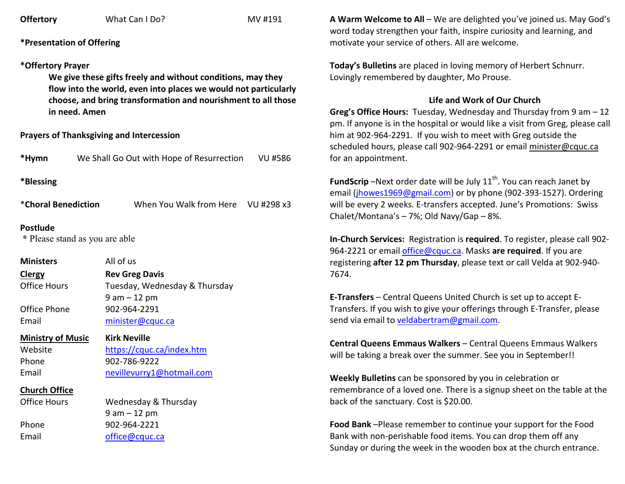| <b>Offertory</b> |
|------------------|
|------------------|

**Offering MV** #191

# **\*Presentation of Offering**

## **\*Offertory Prayer**

**We give these gifts freely and without conditions, may they flow into the world, even into places we would not particularly choose, and bring transformation and nourishment to all those in need. Amen** 

## **Prayers of Thanksgiving and Intercession**

| *Hymn     | We Shall Go Out with Hope of Resurrection | VU #586 |
|-----------|-------------------------------------------|---------|
| *Blessing |                                           |         |

\***Choral Benediction** When You Walk from Here VU #298 x3

#### **Postlude**

 **\*** Please stand as you are able

**Ministers All of us ClergyClergy Rev Greg Davis**<br>**Office Hours Tuesdav.** Wedn Tuesday, Wednesday & Thursday 9 am – 12 pm Office Phone 902-964-2291 Email minister@cquc.ca

#### **Ministry of Music**

 **Kirk Neville**Website https://cquc.ca/index.htm Phone 902-786-9222 Email nevillevurry1@hotmail.com

#### **Church Office**

**Office Hours** 

Wednesday & Thursday 9 am – 12 pm Phone 902-964-2221 Email office@cquc.ca

**A Warm Welcome to All** – We are delighted you've joined us. May God's word today strengthen your faith, inspire curiosity and learning, and motivate your service of others. All are welcome.

**Today's Bulletins** are placed in loving memory of Herbert Schnurr. Lovingly remembered by daughter, Mo Prouse.

## **Life and Work of Our Church**

 **Greg's Office Hours:** Tuesday, Wednesday and Thursday from 9 am – 12 pm. If anyone is in the hospital or would like a visit from Greg, please call him at 902-964-2291. If you wish to meet with Greg outside the scheduled hours, please call 902-964-2291 or email minister@cquc.ca for an appointment.

**FundScrip** –Next order date will be July 11<sup>th</sup>. You can reach Janet by email (jhowes1969@gmail.com) or by phone (902-393-1527). Ordering will be every 2 weeks. E-transfers accepted. June's Promotions: Swiss Chalet/Montana's – 7%; Old Navy/Gap – 8%.

**In-Church Services:** Registration is **required**. To register, please call 902-964-2221 or email office@cquc.ca. Masks **are required**. If you are registering **after 12 pm Thursday**, please text or call Velda at 902-940- 7674.

**E-Transfers** – Central Queens United Church is set up to accept E-Transfers. If you wish to give your offerings through E-Transfer, please send via email to veldabertram@gmail.com.

**Central Queens Emmaus Walkers** – Central Queens Emmaus Walkers will be taking a break over the summer. See you in September!!

**Weekly Bulletins** can be sponsored by you in celebration or remembrance of a loved one. There is a signup sheet on the table at the back of the sanctuary. Cost is \$20.00.

**Food Bank** –Please remember to continue your support for the Food Bank with non-perishable food items. You can drop them off any Sunday or during the week in the wooden box at the church entrance.